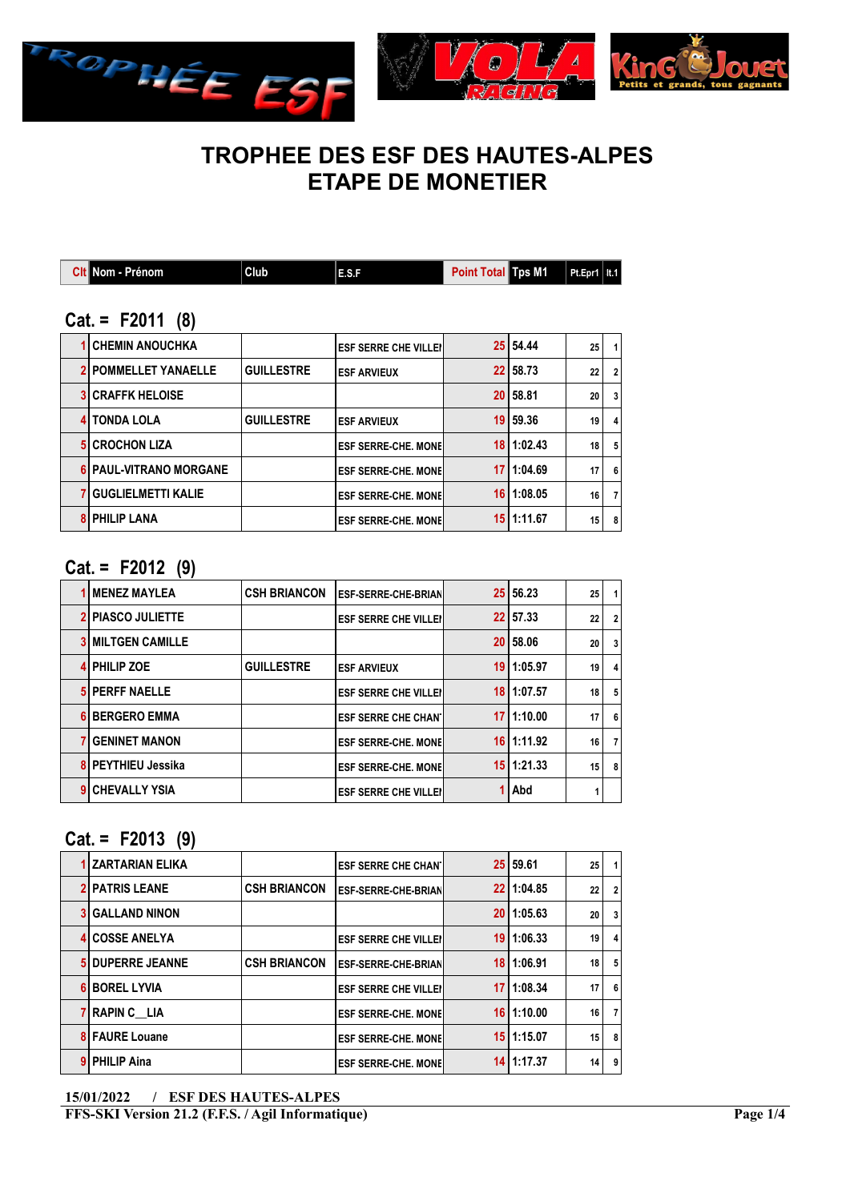



# TROPHEE DES ESF DES HAUTES-ALPES ETAPE DE MONETIER

| <b>Cit</b> Nom - Prénom | Club <sup>1</sup> | E.S.F | Point Total Tps M1 Pt.Epr1   It.1 |  |  |
|-------------------------|-------------------|-------|-----------------------------------|--|--|
|                         |                   |       |                                   |  |  |

### Cat. = F2011 (8)

| <b>1 CHEMIN ANOUCHKA</b>    |                   | <b>IESF SERRE CHE VILLEII</b> |                 | 25 54.44       | 25 | 1)             |
|-----------------------------|-------------------|-------------------------------|-----------------|----------------|----|----------------|
| <b>2 POMMELLET YANAELLE</b> | <b>GUILLESTRE</b> | <b>LESF ARVIEUX</b>           |                 | 22 58.73       | 22 | $\overline{2}$ |
| <b>3 CRAFFK HELOISE</b>     |                   |                               |                 | 20 58.81       | 20 | 3              |
| <b>4 TONDA LOLA</b>         | <b>GUILLESTRE</b> | <b>LESF ARVIEUX</b>           | 19 <sup>1</sup> | 59.36          | 19 | 4              |
| <b>5 CROCHON LIZA</b>       |                   | <b>IESF SERRE-CHE. MONEI</b>  |                 | 18 1:02.43     | 18 | 5              |
| 6 PAUL-VITRANO MORGANE      |                   | <b>IESF SERRE-CHE. MONEI</b>  | 17 I            | 1:04.69        | 17 | 6              |
| <b>7 GUGLIELMETTI KALIE</b> |                   | <b>LESF SERRE-CHE. MONEL</b>  |                 | $16$   1:08.05 | 16 | $\overline{7}$ |
| <b>8 PHILIP LANA</b>        |                   | <b>LESF SERRE-CHE. MONEL</b>  |                 | 15 1:11.67     | 15 | 8              |

#### Cat. = F2012 (9)

| <b>MENEZ MAYLEA</b>    | <b>CSH BRIANCON</b> | <b>IESF-SERRE-CHE-BRIAN</b>   |                 | 25 56.23       | 25 |                |
|------------------------|---------------------|-------------------------------|-----------------|----------------|----|----------------|
| <b>PIASCO JULIETTE</b> |                     | <b>ESF SERRE CHE VILLEI</b>   |                 | 22 57.33       | 22 | $\overline{2}$ |
| <b>MILTGEN CAMILLE</b> |                     |                               | 20              | 58.06          | 20 | 3              |
| <b>PHILIP ZOE</b>      | <b>GUILLESTRE</b>   | <b>LESF ARVIEUX</b>           | 19 I            | 1:05.97        | 19 | 4              |
| <b>PERFF NAELLE</b>    |                     | <b>IESF SERRE CHE VILLEII</b> | 18 I            | 1:07.57        | 18 | 5              |
| <b>BERGERO EMMA</b>    |                     | <b>ESF SERRE CHE CHAN</b>     | 17              | 1:10.00        | 17 | 6              |
| <b>GENINET MANON</b>   |                     | <b>LESF SERRE-CHE. MONEL</b>  |                 | $16$   1:11.92 | 16 | $\overline{7}$ |
| PEYTHIEU Jessika       |                     | <b>IESF SERRE-CHE. MONEI</b>  | 15 <sup>1</sup> | 1:21.33        | 15 | 8              |
| <b>CHEVALLY YSIA</b>   |                     | <b>IESF SERRE CHE VILLEI</b>  |                 | Abd            |    |                |

## $Cat. = F2013 (9)$

| <b>1 ZARTARIAN ELIKA</b> |                     | <b>ESF SERRE CHE CHAN'I</b> | 25 59.61       | 25 |                         |
|--------------------------|---------------------|-----------------------------|----------------|----|-------------------------|
| <b>2 PATRIS LEANE</b>    | <b>CSH BRIANCON</b> | <b>ESF-SERRE-CHE-BRIAN</b>  | 22 1:04.85     | 22 | $\overline{2}$          |
| <b>3 GALLAND NINON</b>   |                     |                             | 2011:05.63     | 20 | 3                       |
| <b>4 COSSE ANELYA</b>    |                     | <b>ESF SERRE CHE VILLEI</b> | $19$   1:06.33 | 19 | $\overline{\mathbf{4}}$ |
| <b>5 DUPERRE JEANNE</b>  | <b>CSH BRIANCON</b> | <b>ESF-SERRE-CHE-BRIAN</b>  | 18 1:06.91     | 18 | 5                       |
| <b>BOREL LYVIA</b>       |                     | <b>ESF SERRE CHE VILLEI</b> | $17$   1:08.34 | 17 | 6                       |
| 7 RAPIN C LIA            |                     | <b>ESF SERRE-CHE, MONE</b>  | $16$   1:10.00 | 16 | 7                       |
| <b>8 FAURE Louane</b>    |                     | <b>ESF SERRE-CHE, MONEL</b> | $15$   1:15.07 | 15 | 8                       |
| 9 PHILIP Aina            |                     | <b>ESF SERRE-CHE, MONE</b>  | 14 1:17.37     | 14 | 9                       |
|                          |                     |                             |                |    |                         |

<sup>15/01/2022 /</sup> ESF DES HAUTES-ALPES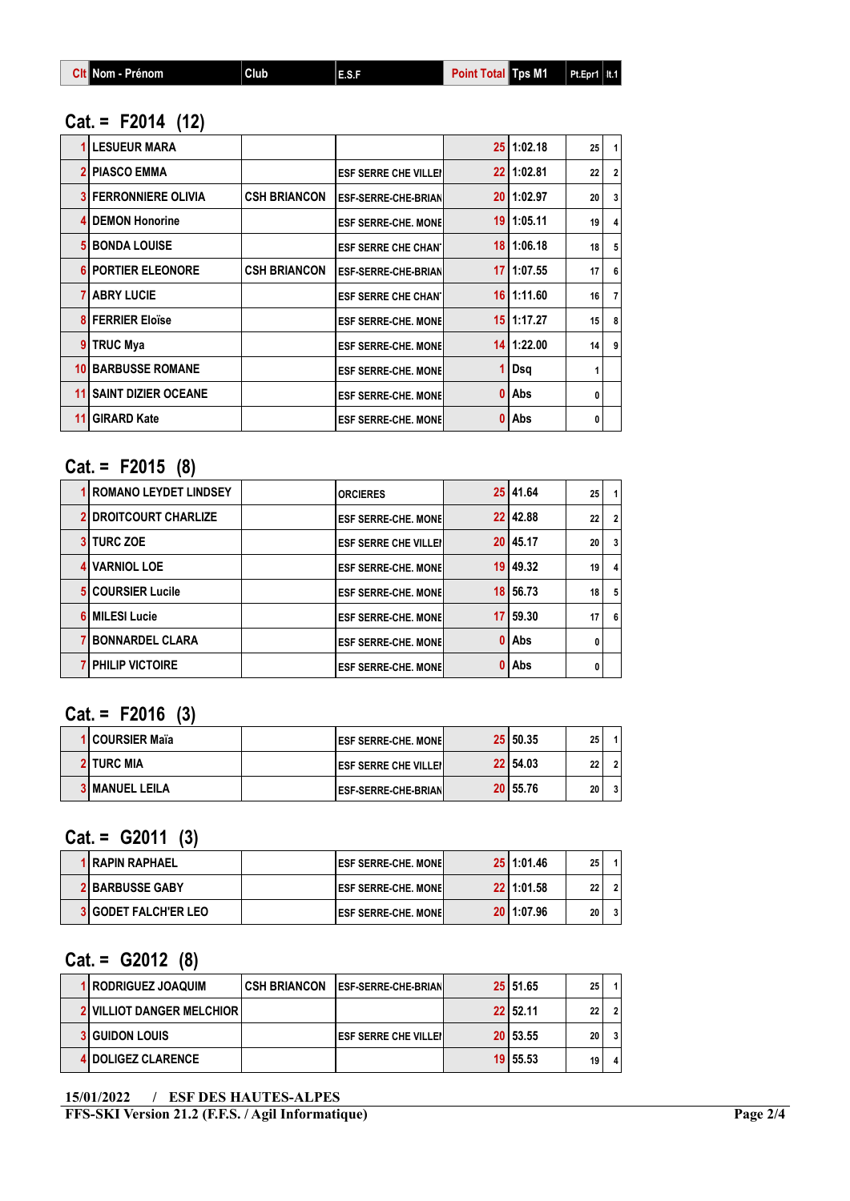| <b>Git Nom - Prénom</b><br>Club | 48F | <b>Total Tps M1</b><br>Point | $Pt.Epr1$   It.1 |
|---------------------------------|-----|------------------------------|------------------|
|---------------------------------|-----|------------------------------|------------------|

## Cat. = F2014 (12)

|    | <b>LESUEUR MARA</b>        |                     |                             |    | $25$   1:02.18 | 25 | $\mathbf{1}$   |
|----|----------------------------|---------------------|-----------------------------|----|----------------|----|----------------|
|    | <b>PIASCO EMMA</b>         |                     | <b>ESF SERRE CHE VILLEI</b> |    | 22   1:02.81   | 22 | 2 <sup>1</sup> |
|    | i FERRONNIERE OLIVIA       | <b>CSH BRIANCON</b> | <b>ESF-SERRE-CHE-BRIAN</b>  | 20 | 1:02.97        | 20 | $\overline{3}$ |
|    | <b>DEMON Honorine</b>      |                     | <b>ESF SERRE-CHE, MONE</b>  | 19 | 1:05.11        | 19 | $\overline{4}$ |
|    | <b>BONDA LOUISE</b>        |                     | <b>ESF SERRE CHE CHANT</b>  | 18 | 1:06.18        | 18 | 5 <sup>5</sup> |
| 6  | <b>PORTIER ELEONORE</b>    | <b>CSH BRIANCON</b> | <b>ESF-SERRE-CHE-BRIAN</b>  | 17 | 1:07.55        | 17 | 6              |
|    | <b>7 ABRY LUCIE</b>        |                     | <b>ESF SERRE CHE CHANT</b>  |    | 16 1:11.60     | 16 | 7 <sup>1</sup> |
|    | <b>8 FERRIER Eloïse</b>    |                     | <b>ESF SERRE-CHE. MONE</b>  |    | 15 1:17.27     | 15 | 8              |
|    | TRUC Mya                   |                     | <b>ESF SERRE-CHE, MONE</b>  |    | 14 1:22.00     | 14 | $\overline{9}$ |
| 10 | <b>BARBUSSE ROMANE</b>     |                     | <b>ESF SERRE-CHE, MONE</b>  |    | Dsq            |    |                |
| 11 | <b>SAINT DIZIER OCEANE</b> |                     | <b>ESF SERRE-CHE, MONE</b>  |    | Abs            | 0  |                |
| 11 | <b>GIRARD Kate</b>         |                     | <b>ESF SERRE-CHE, MONE</b>  |    | Abs            | 0  |                |

# Cat. = F2015 (8)

| <b>1 ROMANO LEYDET LINDSEY</b> | <b>ORCIERES</b>             |      | 25 41.64     | 25 |   |
|--------------------------------|-----------------------------|------|--------------|----|---|
| <b>2 DROITCOURT CHARLIZE</b>   | <b>ESF SERRE-CHE, MONEL</b> |      | 22 42.88     | 22 |   |
| <b>3 TURC ZOE</b>              | <b>ESF SERRE CHE VILLEI</b> |      | 20 45.17     | 20 | 3 |
| 4 VARNIOL LOE                  | <b>ESF SERRE-CHE, MONEL</b> |      | 19 49.32     | 19 | 4 |
| <b>5 COURSIER Lucile</b>       | <b>ESF SERRE-CHE, MONE</b>  |      | 18 56.73     | 18 | 5 |
| <b>6 MILESI Lucie</b>          | <b>ESF SERRE-CHE, MONEL</b> | 17 I | 59.30        | 17 | 6 |
| <b>BONNARDEL CLARA</b>         | <b>ESF SERRE-CHE, MONEL</b> |      | 0 Abs        |    |   |
| <b>7 PHILIP VICTOIRE</b>       | <b>ESF SERRE-CHE, MONEL</b> | 0    | <b>I</b> Abs |    |   |
|                                |                             |      |              |    |   |

Cat. = F2016 (3)

| 1 COURSIER Maïa       | <b>IESF SERRE-CHE. MONEL</b> | 25 50.35 | つら<br>ΖJ |  |
|-----------------------|------------------------------|----------|----------|--|
| <b>2 TURC MIA</b>     | <b>IESF SERRE CHE VILLEI</b> | 22 54.03 | ົ<br>"   |  |
| <b>3 MANUEL LEILA</b> | <b>IESF-SERRE-CHE-BRIANI</b> | 20 55.76 | 20       |  |

## $Cat. = G2011 (3)$

| 1 RAPIN RAPHAEL             | <b>IESF SERRE-CHE. MONEL</b> | 25 1:01.46 | 25 |  |
|-----------------------------|------------------------------|------------|----|--|
| <b>2 BARBUSSE GABY</b>      | <b>IESF SERRE-CHE. MONEL</b> | 22 1:01.58 | 22 |  |
| <b>3 GODET FALCH'ER LEO</b> | <b>IESF SERRE-CHE, MONEL</b> | 20 1:07.96 | 20 |  |

## $Cat. = G2012 (8)$

| 1 RODRIGUEZ JOAQUIM                | I CSH BRIANCON | <b>LESF-SERRE-CHE-BRIANL</b>   | 25   51.65 | 25 | 1 l |
|------------------------------------|----------------|--------------------------------|------------|----|-----|
| <b>2 VILLIOT DANGER MELCHIOR  </b> |                |                                | 22 52.11   | 22 | 21  |
| <b>3 GUIDON LOUIS</b>              |                | <b>IESF SERRE CHE VILLEI I</b> | 20   53.55 | 20 | 3 I |
| 4 DOLIGEZ CLARENCE                 |                |                                | 19 55.53   | 19 | 4'  |

<sup>15/01/2022 /</sup> ESF DES HAUTES-ALPES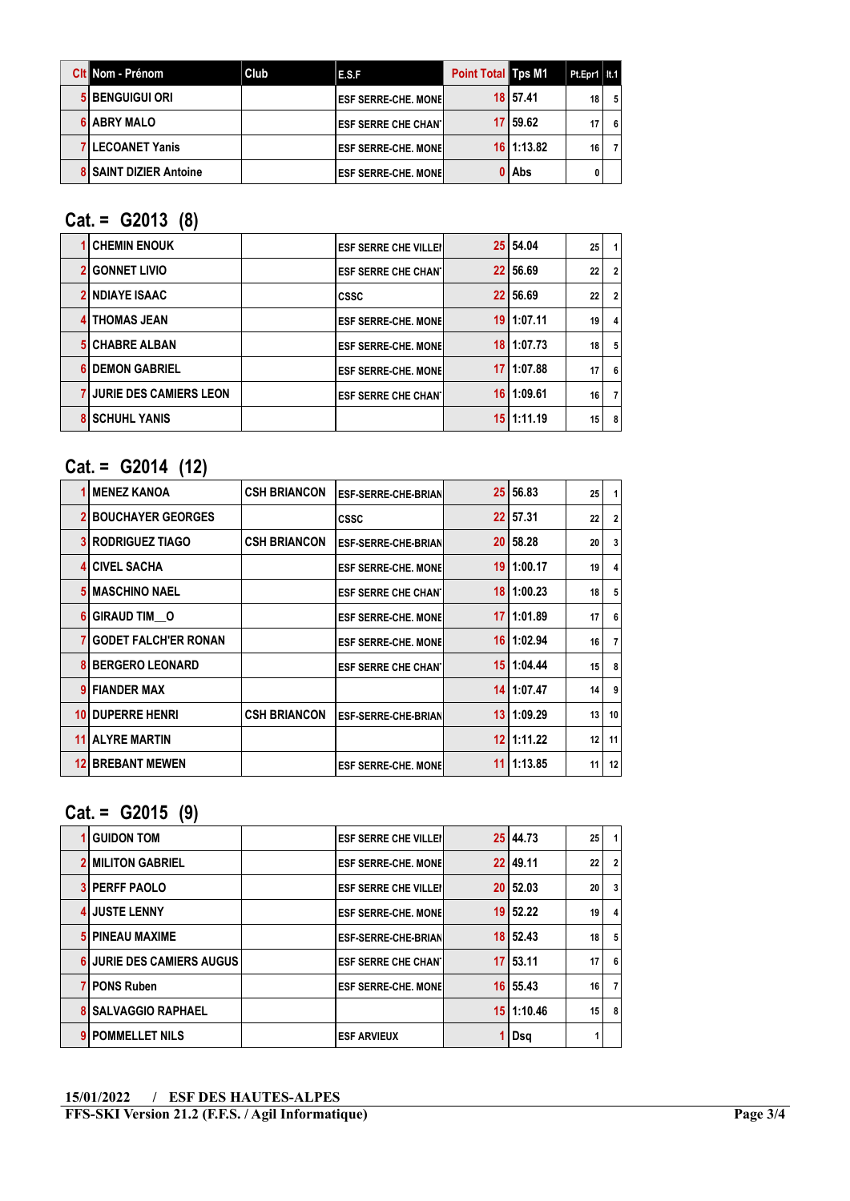| <b>Cit</b> Nom - Prénom       | Club | E.S.F                        | <b>Point Total Tps M1</b> |                | Pt.Epr1   It.1 |     |
|-------------------------------|------|------------------------------|---------------------------|----------------|----------------|-----|
| 5 BENGUIGUI ORI               |      | <b>IESF SERRE-CHE. MONEI</b> |                           | 18 57.41       | 18             | - 5 |
| <b>6 ABRY MALO</b>            |      | <b>IESF SERRE CHE CHAN I</b> |                           | 17   59.62     | 17             | - 6 |
| <b>7 LECOANET Yanis</b>       |      | <b>IESF SERRE-CHE. MONEL</b> |                           | $16$   1:13.82 | 16             |     |
| <b>8 SAINT DIZIER Antoine</b> |      | <b>IESF SERRE-CHE. MONEL</b> |                           | 0 Abs          |                |     |

## Cat. = G2013 (8)

| <b>CHEMIN ENOUK</b>             | <b>ESF SERRE CHE VILLEI</b> | 25 54.04       | 25 | 1 <sub>1</sub> |
|---------------------------------|-----------------------------|----------------|----|----------------|
| <b>GONNET LIVIO</b>             | <b>ESF SERRE CHE CHANT</b>  | 22 56.69       | 22 | $\overline{2}$ |
| <b>NDIAYE ISAAC</b>             | <b>CSSC</b>                 | 22 56.69       | 22 | $\overline{2}$ |
| <b>4 THOMAS JEAN</b>            | <b>ESF SERRE-CHE. MONEL</b> | $19$   1:07.11 | 19 | 4              |
| <b>5 CHABRE ALBAN</b>           | <b>ESF SERRE-CHE. MONEL</b> | 18   1:07.73   | 18 | 5              |
| <b>DEMON GABRIEL</b>            | <b>ESF SERRE-CHE. MONEL</b> | 17 1:07.88     | 17 | 6              |
| <b>7 JURIE DES CAMIERS LEON</b> | <b>ESF SERRE CHE CHANT</b>  | $16$   1:09.61 | 16 | 7 I            |
| <b>SCHUHL YANIS</b>             |                             | 15 1:11.19     | 15 | 8              |

## Cat. = G2014 (12)

|    | <b>MENEZ KANOA</b>          | <b>CSH BRIANCON</b> | <b>ESF-SERRE-CHE-BRIAN</b> | 25 <sub>2</sub> | 56.83      | 25 | $\mathbf{1}$   |
|----|-----------------------------|---------------------|----------------------------|-----------------|------------|----|----------------|
|    | <b>BOUCHAYER GEORGES</b>    |                     | <b>CSSC</b>                | 22              | 57.31      | 22 | $\overline{2}$ |
|    | <b>RODRIGUEZ TIAGO</b>      | <b>CSH BRIANCON</b> | <b>ESF-SERRE-CHE-BRIAN</b> | 20 <sub>1</sub> | 58.28      | 20 | 3              |
|    | <b>CIVEL SACHA</b>          |                     | <b>ESF SERRE-CHE, MONE</b> | 19              | 1:00.17    | 19 | 4              |
|    | <b>MASCHINO NAEL</b>        |                     | <b>ESF SERRE CHE CHANT</b> | 18              | 1:00.23    | 18 | 5              |
|    | GIRAUD TIM O                |                     | <b>ESF SERRE-CHE, MONE</b> | 17              | 1:01.89    | 17 | 6              |
|    | <b>GODET FALCH'ER RONAN</b> |                     | <b>ESF SERRE-CHE, MONE</b> | 16 <sup>1</sup> | 1:02.94    | 16 | $\overline{7}$ |
|    | <b>BERGERO LEONARD</b>      |                     | <b>ESF SERRE CHE CHANT</b> | 15 <sup>1</sup> | 1:04.44    | 15 | 8              |
|    | <b>FIANDER MAX</b>          |                     |                            |                 | 14 1:07.47 | 14 | 9              |
| 10 | <b>DUPERRE HENRI</b>        | <b>CSH BRIANCON</b> | <b>ESF-SERRE-CHE-BRIAN</b> | 13              | 1:09.29    | 13 | 10             |
| 11 | <b>ALYRE MARTIN</b>         |                     |                            | 12              | 1:11.22    | 12 | 11             |
| 12 | <b>BREBANT MEWEN</b>        |                     | <b>ESF SERRE-CHE, MONE</b> | 11              | 1:13.85    | 11 | 12             |

## Cat. = G2015 (9)

| <b>GUIDON TOM</b>          | <b>ESF SERRE CHE VILLEI</b> |                 | 25 44.73 | 25 |                |
|----------------------------|-----------------------------|-----------------|----------|----|----------------|
| <b>2 MILITON GABRIEL</b>   | <b>ESF SERRE-CHE, MONEL</b> |                 | 22 49.11 | 22 | $\overline{2}$ |
| <b>3 PERFF PAOLO</b>       | <b>ESF SERRE CHE VILLEI</b> | 20              | 52.03    | 20 | 3              |
| <b>4 JUSTE LENNY</b>       | <b>ESF SERRE-CHE, MONE</b>  | 19 <sup>°</sup> | 52.22    | 19 | 4              |
| <b>5 PINEAU MAXIME</b>     | <b>ESF-SERRE-CHE-BRIAN</b>  |                 | 18 52.43 | 18 | 5              |
| 6 JURIE DES CAMIERS AUGUS  | <b>ESF SERRE CHE CHANT</b>  |                 | 17 53.11 | 17 | 6              |
| 7 PONS Ruben               | <b>ESF SERRE-CHE, MONE</b>  |                 | 16 55.43 | 16 | $\overline{7}$ |
| <b>8 SALVAGGIO RAPHAEL</b> |                             | 15 I            | 1:10.46  | 15 | 8              |
| <b>POMMELLET NILS</b>      | <b>ESF ARVIEUX</b>          |                 | Dsg      |    |                |
|                            |                             |                 |          |    |                |